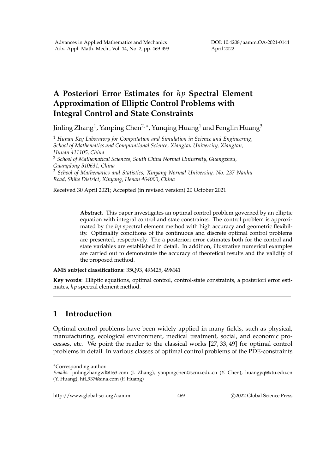## **A Posteriori Error Estimates for** *hp* **Spectral Element Approximation of Elliptic Control Problems with Integral Control and State Constraints**

Jinling Zhang $^1$ , Yanping Chen $^{2,\ast}$ , Yunqing Huang $^1$  and Fenglin Huang $^3$ 

<sup>1</sup> *Hunan Key Laboratory for Computation and Simulation in Science and Engineering, School of Mathematics and Computational Science, Xiangtan University, Xiangtan, Hunan 411105, China*

<sup>2</sup> *School of Mathematical Sciences, South China Normal University, Guangzhou, Guangdong 510631, China*

<sup>3</sup> *School of Mathematics and Statistics, Xinyang Normal University, No. 237 Nanhu Road, Shihe District, Xinyang, Henan 464000, China*

Received 30 April 2021; Accepted (in revised version) 20 October 2021

**Abstract.** This paper investigates an optimal control problem governed by an elliptic equation with integral control and state constraints. The control problem is approximated by the *hp* spectral element method with high accuracy and geometric flexibility. Optimality conditions of the continuous and discrete optimal control problems are presented, respectively. The a posteriori error estimates both for the control and state variables are established in detail. In addition, illustrative numerical examples are carried out to demonstrate the accuracy of theoretical results and the validity of the proposed method.

**AMS subject classifications**: 35Q93, 49M25, 49M41

**Key words**: Elliptic equations, optimal control, control-state constraints, a posteriori error estimates, *hp* spectral element method.

## **1 Introduction**

Optimal control problems have been widely applied in many fields, such as physical, manufacturing, ecological environment, medical treatment, social, and economic processes, etc. We point the reader to the classical works [27, 33, 49] for optimal control problems in detail. In various classes of optimal control problems of the PDE-constraints

http://www.global-sci.org/aamm 469 c 2022 Global Science Press

<sup>∗</sup>Corresponding author.

*Emails:* jinlingzhangwl@163.com (J. Zhang), yanpingchen@scnu.edu.cn (Y. Chen), huangyq@xtu.edu.cn (Y. Huang), hfl 937@sina.com (F. Huang)